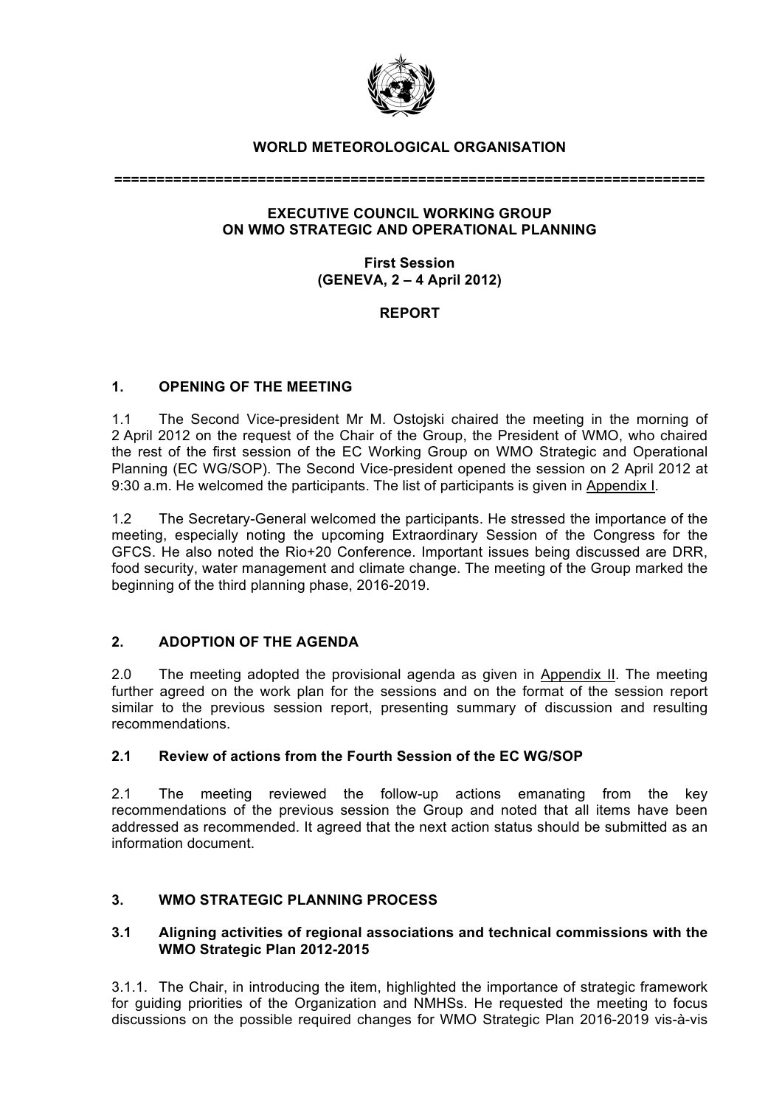

## **WORLD METEOROLOGICAL ORGANISATION**

**======================================================================**

## **EXECUTIVE COUNCIL WORKING GROUP ON WMO STRATEGIC AND OPERATIONAL PLANNING**

## **First Session (GENEVA, 2 – 4 April 2012)**

# **REPORT**

# **1. OPENING OF THE MEETING**

1.1 The Second Vice-president Mr M. Ostojski chaired the meeting in the morning of 2 April 2012 on the request of the Chair of the Group, the President of WMO, who chaired the rest of the first session of the EC Working Group on WMO Strategic and Operational Planning (EC WG/SOP). The Second Vice-president opened the session on 2 April 2012 at 9:30 a.m. He welcomed the participants. The list of participants is given in Appendix I.

1.2 The Secretary-General welcomed the participants. He stressed the importance of the meeting, especially noting the upcoming Extraordinary Session of the Congress for the GFCS. He also noted the Rio+20 Conference. Important issues being discussed are DRR, food security, water management and climate change. The meeting of the Group marked the beginning of the third planning phase, 2016-2019.

### **2. ADOPTION OF THE AGENDA**

2.0 The meeting adopted the provisional agenda as given in Appendix II. The meeting further agreed on the work plan for the sessions and on the format of the session report similar to the previous session report, presenting summary of discussion and resulting recommendations.

### **2.1 Review of actions from the Fourth Session of the EC WG/SOP**

2.1 The meeting reviewed the follow-up actions emanating from the key recommendations of the previous session the Group and noted that all items have been addressed as recommended. It agreed that the next action status should be submitted as an information document.

# **3. WMO STRATEGIC PLANNING PROCESS**

### **3.1 Aligning activities of regional associations and technical commissions with the WMO Strategic Plan 2012-2015**

3.1.1. The Chair, in introducing the item, highlighted the importance of strategic framework for guiding priorities of the Organization and NMHSs. He requested the meeting to focus discussions on the possible required changes for WMO Strategic Plan 2016-2019 vis-à-vis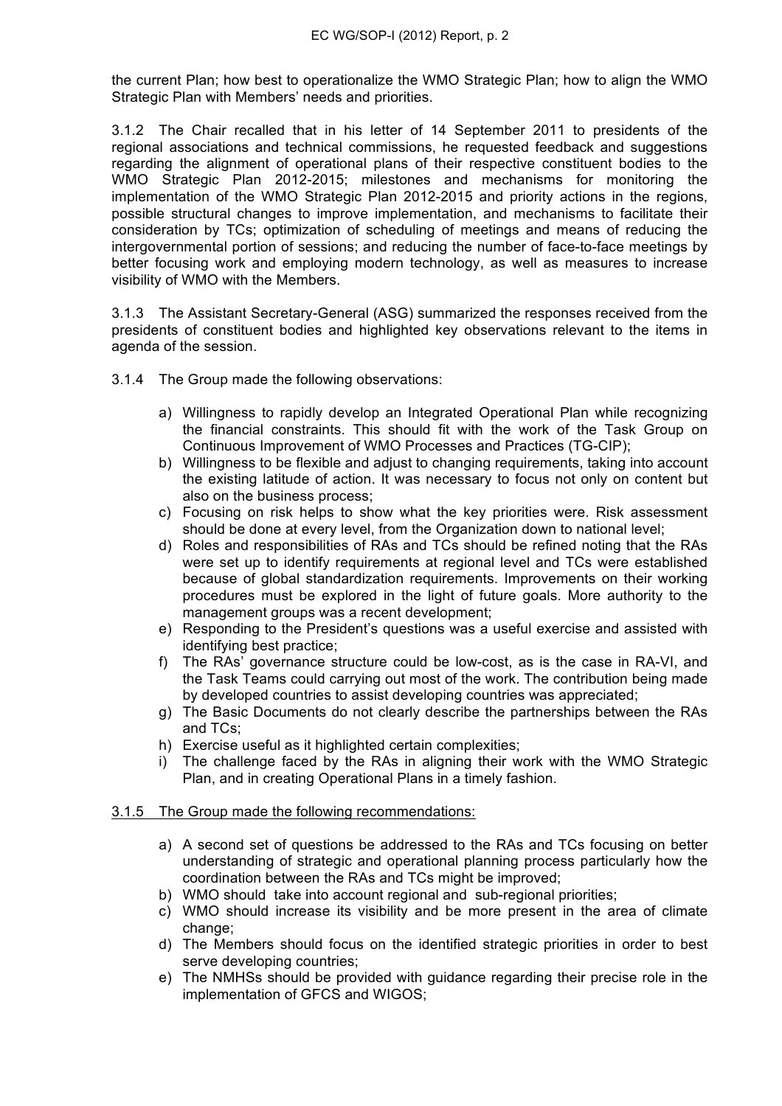the current Plan; how best to operationalize the WMO Strategic Plan; how to align the WMO Strategic Plan with Members' needs and priorities.

3.1.2 The Chair recalled that in his letter of 14 September 2011 to presidents of the regional associations and technical commissions, he requested feedback and suggestions regarding the alignment of operational plans of their respective constituent bodies to the WMO Strategic Plan 2012-2015; milestones and mechanisms for monitoring the implementation of the WMO Strategic Plan 2012-2015 and priority actions in the regions, possible structural changes to improve implementation, and mechanisms to facilitate their consideration by TCs; optimization of scheduling of meetings and means of reducing the intergovernmental portion of sessions; and reducing the number of face-to-face meetings by better focusing work and employing modern technology, as well as measures to increase visibility of WMO with the Members.

3.1.3 The Assistant Secretary-General (ASG) summarized the responses received from the presidents of constituent bodies and highlighted key observations relevant to the items in agenda of the session.

- 3.1.4 The Group made the following observations:
	- a) Willingness to rapidly develop an Integrated Operational Plan while recognizing the financial constraints. This should fit with the work of the Task Group on Continuous Improvement of WMO Processes and Practices (TG-CIP);
	- b) Willingness to be flexible and adjust to changing requirements, taking into account the existing latitude of action. It was necessary to focus not only on content but also on the business process;
	- c) Focusing on risk helps to show what the key priorities were. Risk assessment should be done at every level, from the Organization down to national level;
	- d) Roles and responsibilities of RAs and TCs should be refined noting that the RAs were set up to identify requirements at regional level and TCs were established because of global standardization requirements. Improvements on their working procedures must be explored in the light of future goals. More authority to the management groups was a recent development:
	- e) Responding to the President's questions was a useful exercise and assisted with identifying best practice;
	- f) The RAs' governance structure could be low-cost, as is the case in RA-VI, and the Task Teams could carrying out most of the work. The contribution being made by developed countries to assist developing countries was appreciated;
	- g) The Basic Documents do not clearly describe the partnerships between the RAs and TCs;
	- h) Exercise useful as it highlighted certain complexities;
	- i) The challenge faced by the RAs in aligning their work with the WMO Strategic Plan, and in creating Operational Plans in a timely fashion.

### 3.1.5 The Group made the following recommendations:

- a) A second set of questions be addressed to the RAs and TCs focusing on better understanding of strategic and operational planning process particularly how the coordination between the RAs and TCs might be improved;
- b) WMO should take into account regional and sub-regional priorities;
- c) WMO should increase its visibility and be more present in the area of climate change;
- d) The Members should focus on the identified strategic priorities in order to best serve developing countries;
- e) The NMHSs should be provided with guidance regarding their precise role in the implementation of GFCS and WIGOS;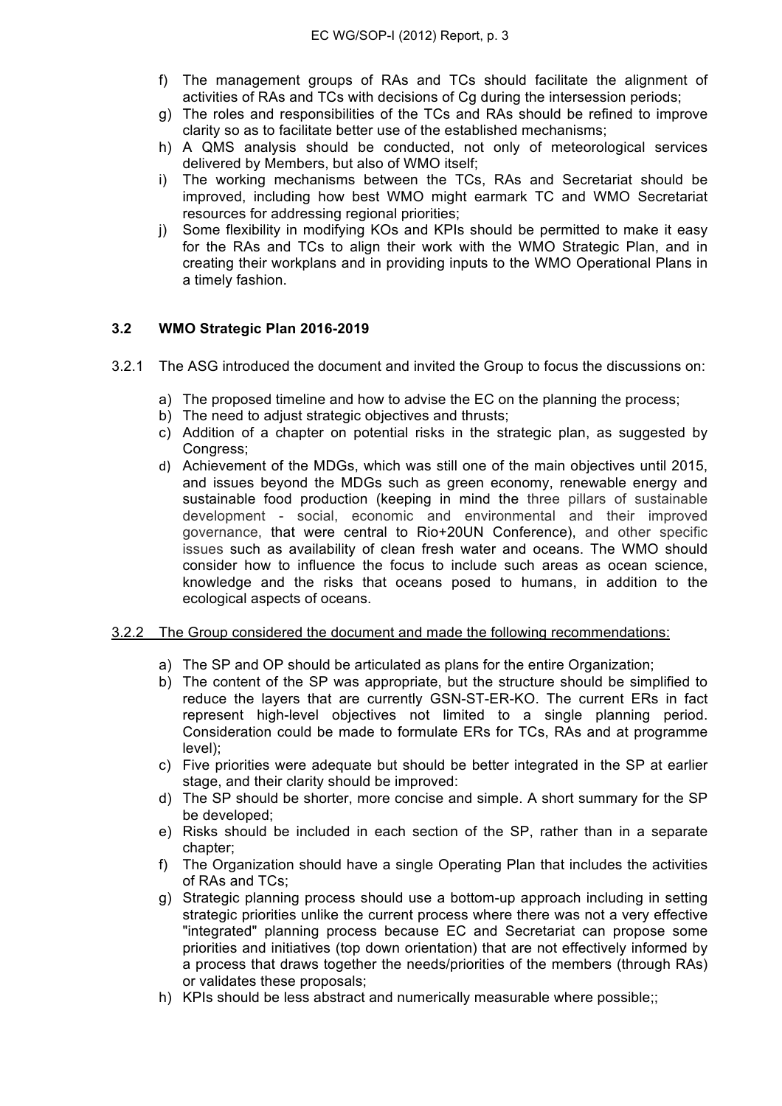- f) The management groups of RAs and TCs should facilitate the alignment of activities of RAs and TCs with decisions of Cg during the intersession periods;
- g) The roles and responsibilities of the TCs and RAs should be refined to improve clarity so as to facilitate better use of the established mechanisms;
- h) A QMS analysis should be conducted, not only of meteorological services delivered by Members, but also of WMO itself;
- i) The working mechanisms between the TCs, RAs and Secretariat should be improved, including how best WMO might earmark TC and WMO Secretariat resources for addressing regional priorities;
- j) Some flexibility in modifying KOs and KPIs should be permitted to make it easy for the RAs and TCs to align their work with the WMO Strategic Plan, and in creating their workplans and in providing inputs to the WMO Operational Plans in a timely fashion.

### **3.2 WMO Strategic Plan 2016-2019**

- 3.2.1 The ASG introduced the document and invited the Group to focus the discussions on:
	- a) The proposed timeline and how to advise the EC on the planning the process;
	- b) The need to adjust strategic objectives and thrusts:
	- c) Addition of a chapter on potential risks in the strategic plan, as suggested by Congress;
	- d) Achievement of the MDGs, which was still one of the main objectives until 2015, and issues beyond the MDGs such as green economy, renewable energy and sustainable food production (keeping in mind the three pillars of sustainable development - social, economic and environmental and their improved governance, that were central to Rio+20UN Conference), and other specific issues such as availability of clean fresh water and oceans. The WMO should consider how to influence the focus to include such areas as ocean science, knowledge and the risks that oceans posed to humans, in addition to the ecological aspects of oceans.

#### 3.2.2 The Group considered the document and made the following recommendations:

- a) The SP and OP should be articulated as plans for the entire Organization;
- b) The content of the SP was appropriate, but the structure should be simplified to reduce the layers that are currently GSN-ST-ER-KO. The current ERs in fact represent high-level objectives not limited to a single planning period. Consideration could be made to formulate ERs for TCs, RAs and at programme level);
- c) Five priorities were adequate but should be better integrated in the SP at earlier stage, and their clarity should be improved:
- d) The SP should be shorter, more concise and simple. A short summary for the SP be developed;
- e) Risks should be included in each section of the SP, rather than in a separate chapter;
- f) The Organization should have a single Operating Plan that includes the activities of RAs and TCs;
- g) Strategic planning process should use a bottom-up approach including in setting strategic priorities unlike the current process where there was not a very effective "integrated" planning process because EC and Secretariat can propose some priorities and initiatives (top down orientation) that are not effectively informed by a process that draws together the needs/priorities of the members (through RAs) or validates these proposals;
- h) KPIs should be less abstract and numerically measurable where possible;;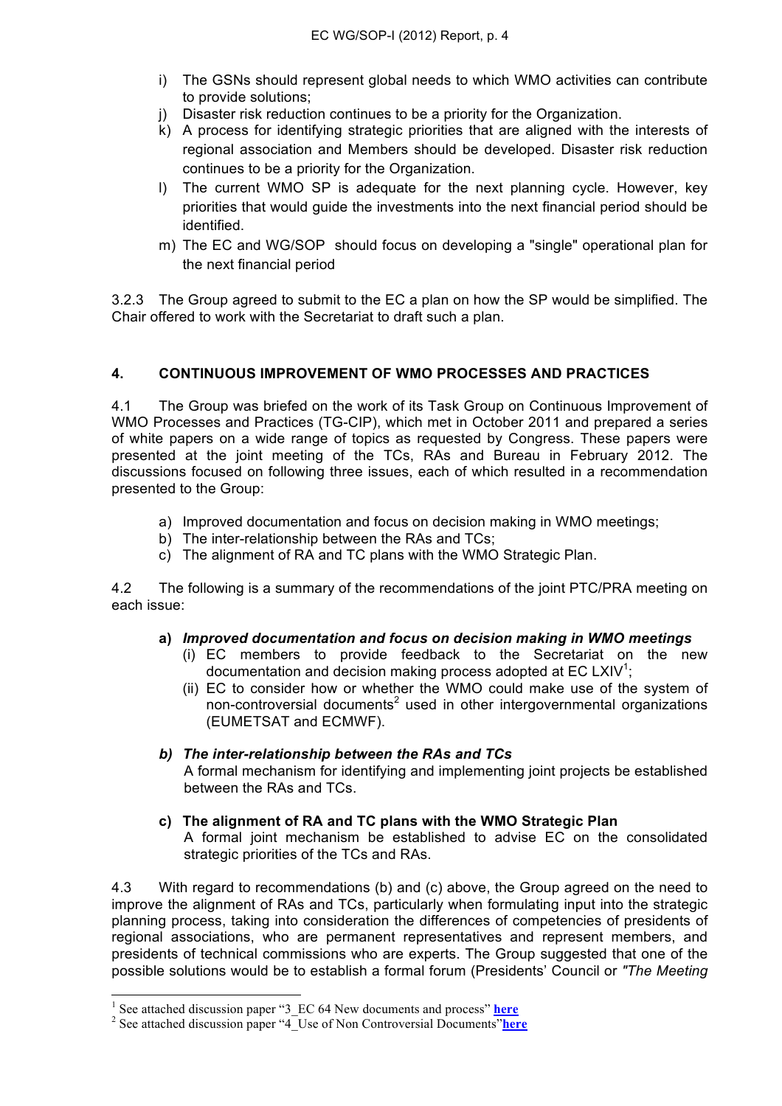- i) The GSNs should represent global needs to which WMO activities can contribute to provide solutions;
- j) Disaster risk reduction continues to be a priority for the Organization.
- k) A process for identifying strategic priorities that are aligned with the interests of regional association and Members should be developed. Disaster risk reduction continues to be a priority for the Organization.
- l) The current WMO SP is adequate for the next planning cycle. However, key priorities that would guide the investments into the next financial period should be identified.
- m) The EC and WG/SOP should focus on developing a "single" operational plan for the next financial period

3.2.3 The Group agreed to submit to the EC a plan on how the SP would be simplified. The Chair offered to work with the Secretariat to draft such a plan.

## **4. CONTINUOUS IMPROVEMENT OF WMO PROCESSES AND PRACTICES**

4.1 The Group was briefed on the work of its Task Group on Continuous Improvement of WMO Processes and Practices (TG-CIP), which met in October 2011 and prepared a series of white papers on a wide range of topics as requested by Congress. These papers were presented at the joint meeting of the TCs, RAs and Bureau in February 2012. The discussions focused on following three issues, each of which resulted in a recommendation presented to the Group:

- a) Improved documentation and focus on decision making in WMO meetings;
- b) The inter-relationship between the RAs and TCs;
- c) The alignment of RA and TC plans with the WMO Strategic Plan.

4.2 The following is a summary of the recommendations of the joint PTC/PRA meeting on each issue:

### **a)** *Improved documentation and focus on decision making in WMO meetings*

- (i) EC members to provide feedback to the Secretariat on the new documentation and decision making process adopted at EC LXIV<sup>1</sup>;
- (ii) EC to consider how or whether the WMO could make use of the system of non-controversial documents<sup>2</sup> used in other intergovernmental organizations (EUMETSAT and ECMWF).

### *b) The inter-relationship between the RAs and TCs*

A formal mechanism for identifying and implementing joint projects be established between the RAs and TCs.

### **c) The alignment of RA and TC plans with the WMO Strategic Plan**

A formal joint mechanism be established to advise EC on the consolidated strategic priorities of the TCs and RAs.

4.3 With regard to recommendations (b) and (c) above, the Group agreed on the need to improve the alignment of RAs and TCs, particularly when formulating input into the strategic planning process, taking into consideration the differences of competencies of presidents of regional associations, who are permanent representatives and represent members, and presidents of technical commissions who are experts. The Group suggested that one of the possible solutions would be to establish a formal forum (Presidents' Council or *"The Meeting* 

 $\frac{1}{1}$ <sup>1</sup> See attached discussion paper "3 EC 64 New documents and process" **here** 

<sup>&</sup>lt;sup>2</sup> See attached discussion paper "4<sup>T</sup>Use of Non Controversial Documents" here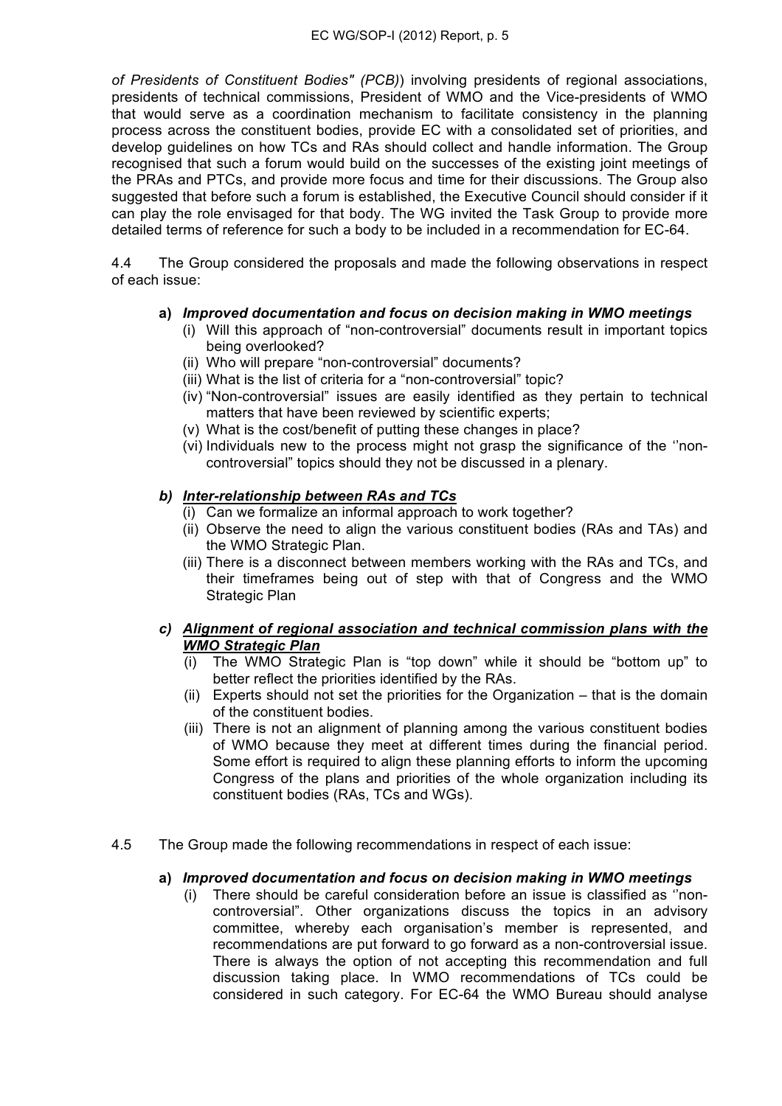*of Presidents of Constituent Bodies" (PCB)*) involving presidents of regional associations, presidents of technical commissions, President of WMO and the Vice-presidents of WMO that would serve as a coordination mechanism to facilitate consistency in the planning process across the constituent bodies, provide EC with a consolidated set of priorities, and develop guidelines on how TCs and RAs should collect and handle information. The Group recognised that such a forum would build on the successes of the existing joint meetings of the PRAs and PTCs, and provide more focus and time for their discussions. The Group also suggested that before such a forum is established, the Executive Council should consider if it can play the role envisaged for that body. The WG invited the Task Group to provide more detailed terms of reference for such a body to be included in a recommendation for EC-64.

4.4 The Group considered the proposals and made the following observations in respect of each issue:

### **a)** *Improved documentation and focus on decision making in WMO meetings*

- (i) Will this approach of "non-controversial" documents result in important topics being overlooked?
- (ii) Who will prepare "non-controversial" documents?
- (iii) What is the list of criteria for a "non-controversial" topic?
- (iv) "Non-controversial" issues are easily identified as they pertain to technical matters that have been reviewed by scientific experts;
- (v) What is the cost/benefit of putting these changes in place?
- (vi) Individuals new to the process might not grasp the significance of the ''noncontroversial" topics should they not be discussed in a plenary.

#### *b) Inter-relationship between RAs and TCs*

- $(i)$  Can we formalize an informal approach to work together?
- (ii) Observe the need to align the various constituent bodies (RAs and TAs) and the WMO Strategic Plan.
- (iii) There is a disconnect between members working with the RAs and TCs, and their timeframes being out of step with that of Congress and the WMO Strategic Plan

### *c) Alignment of regional association and technical commission plans with the WMO Strategic Plan*

- (i) The WMO Strategic Plan is "top down" while it should be "bottom up" to better reflect the priorities identified by the RAs.
- (ii) Experts should not set the priorities for the Organization that is the domain of the constituent bodies.
- (iii) There is not an alignment of planning among the various constituent bodies of WMO because they meet at different times during the financial period. Some effort is required to align these planning efforts to inform the upcoming Congress of the plans and priorities of the whole organization including its constituent bodies (RAs, TCs and WGs).
- 4.5 The Group made the following recommendations in respect of each issue:

#### **a)** *Improved documentation and focus on decision making in WMO meetings*

(i) There should be careful consideration before an issue is classified as ''noncontroversial". Other organizations discuss the topics in an advisory committee, whereby each organisation's member is represented, and recommendations are put forward to go forward as a non-controversial issue. There is always the option of not accepting this recommendation and full discussion taking place. In WMO recommendations of TCs could be considered in such category. For EC-64 the WMO Bureau should analyse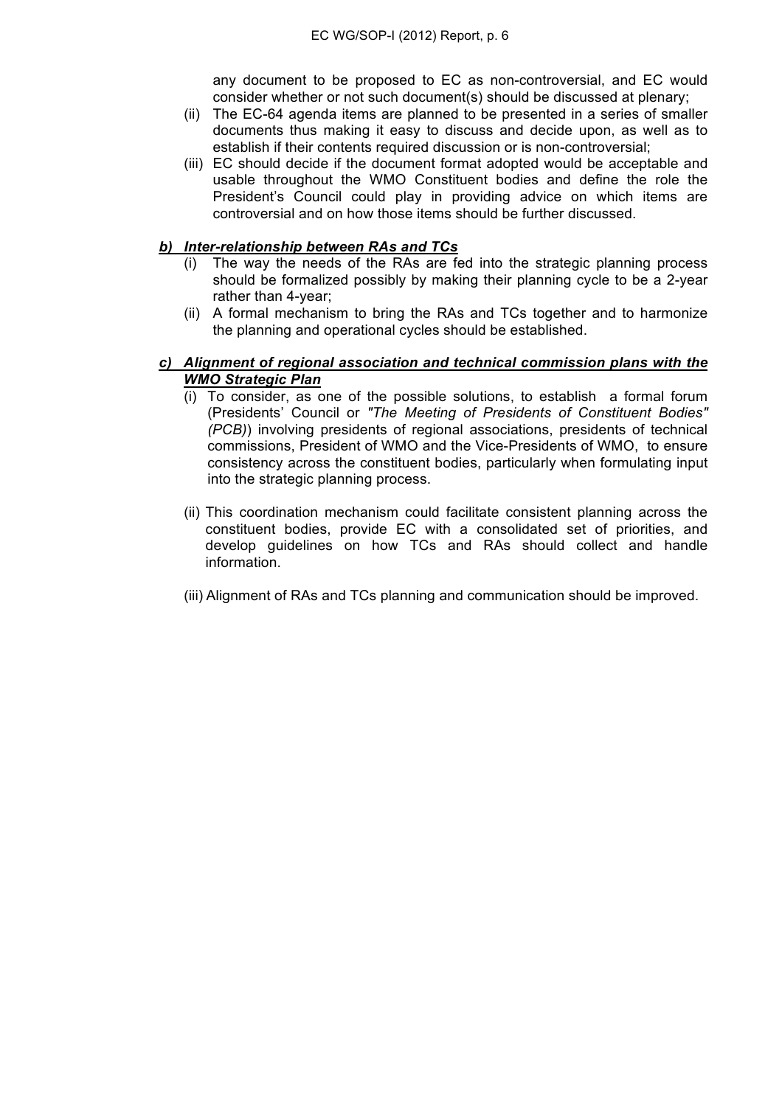any document to be proposed to EC as non-controversial, and EC would consider whether or not such document(s) should be discussed at plenary;

- (ii) The EC-64 agenda items are planned to be presented in a series of smaller documents thus making it easy to discuss and decide upon, as well as to establish if their contents required discussion or is non-controversial;
- (iii) EC should decide if the document format adopted would be acceptable and usable throughout the WMO Constituent bodies and define the role the President's Council could play in providing advice on which items are controversial and on how those items should be further discussed.

#### *b) Inter-relationship between RAs and TCs*

- (i) The way the needs of the RAs are fed into the strategic planning process should be formalized possibly by making their planning cycle to be a 2-year rather than 4-year;
- (ii) A formal mechanism to bring the RAs and TCs together and to harmonize the planning and operational cycles should be established.

#### *c) Alignment of regional association and technical commission plans with the WMO Strategic Plan*

- (i) To consider, as one of the possible solutions, to establish a formal forum (Presidents' Council or *"The Meeting of Presidents of Constituent Bodies" (PCB)*) involving presidents of regional associations, presidents of technical commissions, President of WMO and the Vice-Presidents of WMO, to ensure consistency across the constituent bodies, particularly when formulating input into the strategic planning process.
- (ii) This coordination mechanism could facilitate consistent planning across the constituent bodies, provide EC with a consolidated set of priorities, and develop guidelines on how TCs and RAs should collect and handle information.
- (iii) Alignment of RAs and TCs planning and communication should be improved.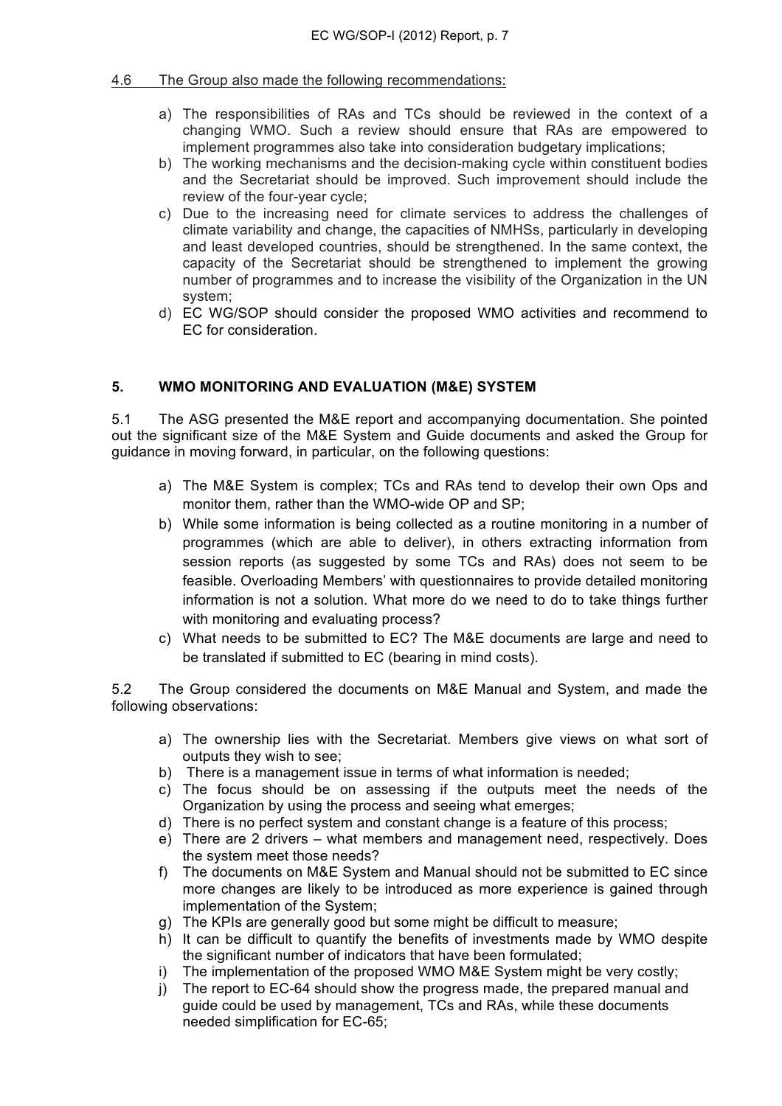### 4.6 The Group also made the following recommendations:

- a) The responsibilities of RAs and TCs should be reviewed in the context of a changing WMO. Such a review should ensure that RAs are empowered to implement programmes also take into consideration budgetary implications;
- b) The working mechanisms and the decision-making cycle within constituent bodies and the Secretariat should be improved. Such improvement should include the review of the four-year cycle;
- c) Due to the increasing need for climate services to address the challenges of climate variability and change, the capacities of NMHSs, particularly in developing and least developed countries, should be strengthened. In the same context, the capacity of the Secretariat should be strengthened to implement the growing number of programmes and to increase the visibility of the Organization in the UN system;
- d) EC WG/SOP should consider the proposed WMO activities and recommend to EC for consideration.

## **5. WMO MONITORING AND EVALUATION (M&E) SYSTEM**

5.1 The ASG presented the M&E report and accompanying documentation. She pointed out the significant size of the M&E System and Guide documents and asked the Group for guidance in moving forward, in particular, on the following questions:

- a) The M&E System is complex; TCs and RAs tend to develop their own Ops and monitor them, rather than the WMO-wide OP and SP;
- b) While some information is being collected as a routine monitoring in a number of programmes (which are able to deliver), in others extracting information from session reports (as suggested by some TCs and RAs) does not seem to be feasible. Overloading Members' with questionnaires to provide detailed monitoring information is not a solution. What more do we need to do to take things further with monitoring and evaluating process?
- c) What needs to be submitted to EC? The M&E documents are large and need to be translated if submitted to EC (bearing in mind costs).

5.2 The Group considered the documents on M&E Manual and System, and made the following observations:

- a) The ownership lies with the Secretariat. Members give views on what sort of outputs they wish to see;
- b) There is a management issue in terms of what information is needed;
- c) The focus should be on assessing if the outputs meet the needs of the Organization by using the process and seeing what emerges;
- d) There is no perfect system and constant change is a feature of this process;
- e) There are 2 drivers what members and management need, respectively. Does the system meet those needs?
- f) The documents on M&E System and Manual should not be submitted to EC since more changes are likely to be introduced as more experience is gained through implementation of the System;
- g) The KPIs are generally good but some might be difficult to measure;
- h) It can be difficult to quantify the benefits of investments made by WMO despite the significant number of indicators that have been formulated;
- i) The implementation of the proposed WMO M&E System might be very costly;
- j) The report to EC-64 should show the progress made, the prepared manual and guide could be used by management, TCs and RAs, while these documents needed simplification for EC-65;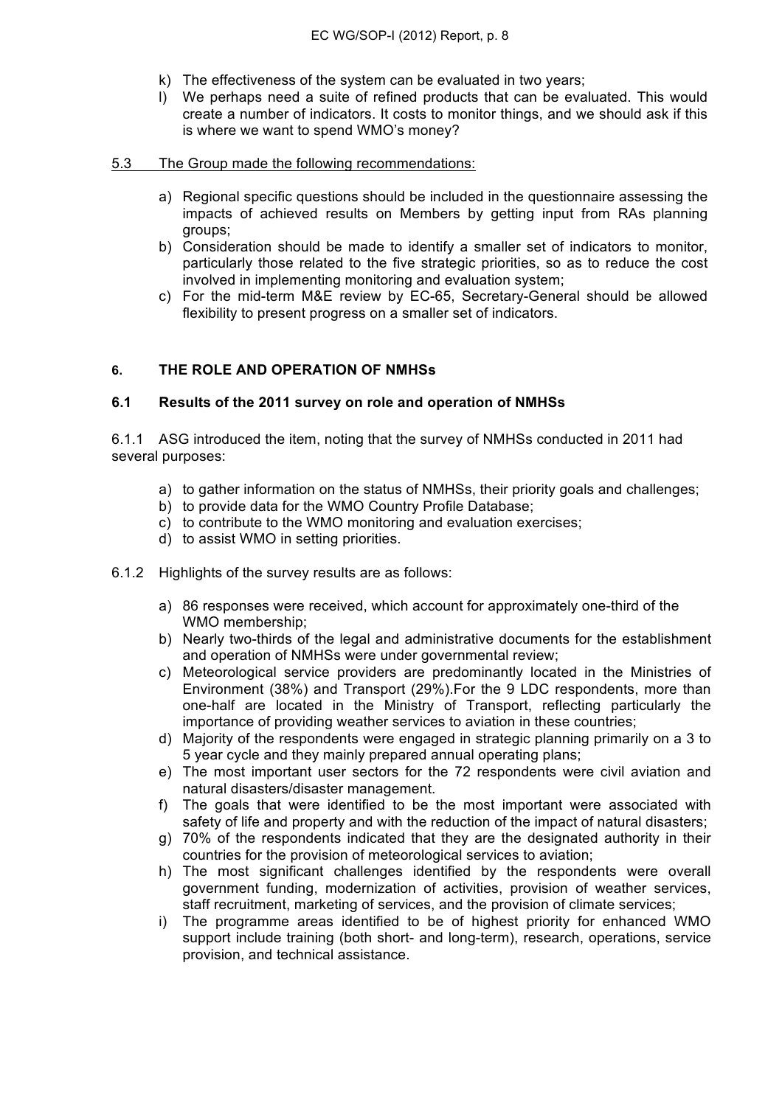- k) The effectiveness of the system can be evaluated in two years;
- l) We perhaps need a suite of refined products that can be evaluated. This would create a number of indicators. It costs to monitor things, and we should ask if this is where we want to spend WMO's money?

#### 5.3 The Group made the following recommendations:

- a) Regional specific questions should be included in the questionnaire assessing the impacts of achieved results on Members by getting input from RAs planning groups;
- b) Consideration should be made to identify a smaller set of indicators to monitor, particularly those related to the five strategic priorities, so as to reduce the cost involved in implementing monitoring and evaluation system;
- c) For the mid-term M&E review by EC-65, Secretary-General should be allowed flexibility to present progress on a smaller set of indicators.

### **6. THE ROLE AND OPERATION OF NMHSs**

#### **6.1 Results of the 2011 survey on role and operation of NMHSs**

6.1.1 ASG introduced the item, noting that the survey of NMHSs conducted in 2011 had several purposes:

- a) to gather information on the status of NMHSs, their priority goals and challenges;
- b) to provide data for the WMO Country Profile Database;
- c) to contribute to the WMO monitoring and evaluation exercises;
- d) to assist WMO in setting priorities.
- 6.1.2 Highlights of the survey results are as follows:
	- a) 86 responses were received, which account for approximately one-third of the WMO membership;
	- b) Nearly two-thirds of the legal and administrative documents for the establishment and operation of NMHSs were under governmental review;
	- c) Meteorological service providers are predominantly located in the Ministries of Environment (38%) and Transport (29%).For the 9 LDC respondents, more than one-half are located in the Ministry of Transport, reflecting particularly the importance of providing weather services to aviation in these countries;
	- d) Majority of the respondents were engaged in strategic planning primarily on a 3 to 5 year cycle and they mainly prepared annual operating plans;
	- e) The most important user sectors for the 72 respondents were civil aviation and natural disasters/disaster management.
	- f) The goals that were identified to be the most important were associated with safety of life and property and with the reduction of the impact of natural disasters;
	- g) 70% of the respondents indicated that they are the designated authority in their countries for the provision of meteorological services to aviation;
	- h) The most significant challenges identified by the respondents were overall government funding, modernization of activities, provision of weather services, staff recruitment, marketing of services, and the provision of climate services;
	- i) The programme areas identified to be of highest priority for enhanced WMO support include training (both short- and long-term), research, operations, service provision, and technical assistance.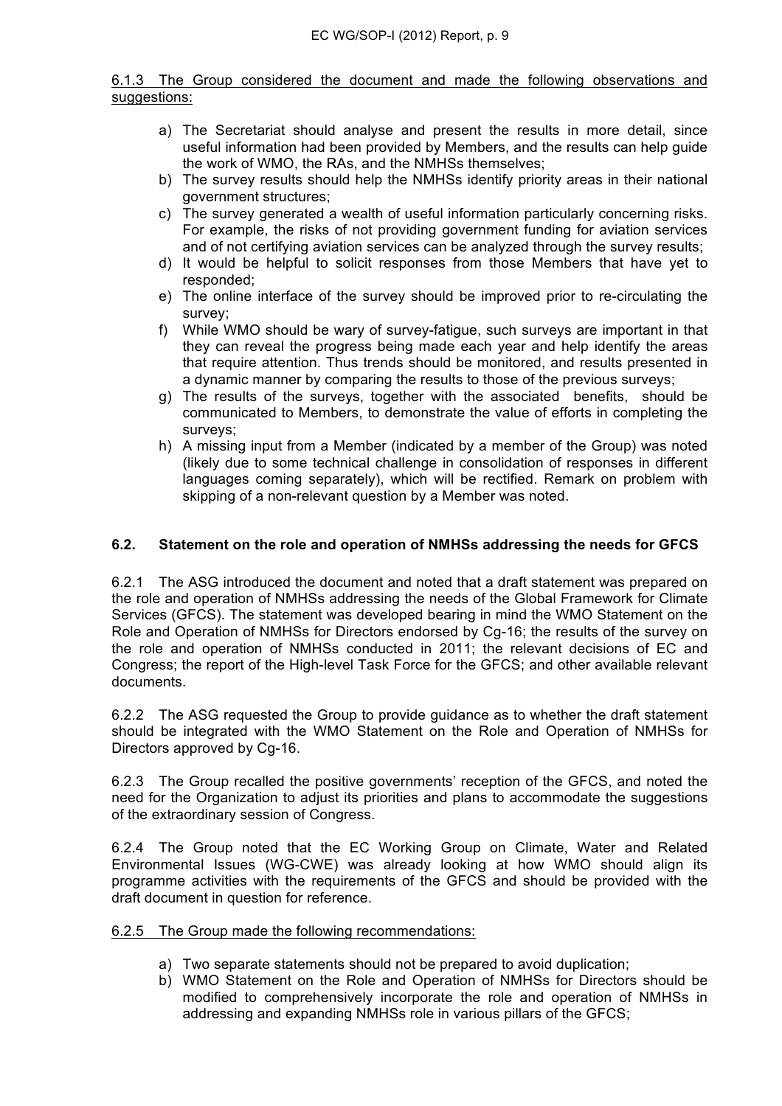#### 6.1.3 The Group considered the document and made the following observations and suggestions:

- a) The Secretariat should analyse and present the results in more detail, since useful information had been provided by Members, and the results can help guide the work of WMO, the RAs, and the NMHSs themselves;
- b) The survey results should help the NMHSs identify priority areas in their national government structures;
- c) The survey generated a wealth of useful information particularly concerning risks. For example, the risks of not providing government funding for aviation services and of not certifying aviation services can be analyzed through the survey results;
- d) It would be helpful to solicit responses from those Members that have yet to responded;
- e) The online interface of the survey should be improved prior to re-circulating the survey;
- f) While WMO should be wary of survey-fatigue, such surveys are important in that they can reveal the progress being made each year and help identify the areas that require attention. Thus trends should be monitored, and results presented in a dynamic manner by comparing the results to those of the previous surveys;
- g) The results of the surveys, together with the associated benefits, should be communicated to Members, to demonstrate the value of efforts in completing the surveys:
- h) A missing input from a Member (indicated by a member of the Group) was noted (likely due to some technical challenge in consolidation of responses in different languages coming separately), which will be rectified. Remark on problem with skipping of a non-relevant question by a Member was noted.

### **6.2. Statement on the role and operation of NMHSs addressing the needs for GFCS**

6.2.1 The ASG introduced the document and noted that a draft statement was prepared on the role and operation of NMHSs addressing the needs of the Global Framework for Climate Services (GFCS). The statement was developed bearing in mind the WMO Statement on the Role and Operation of NMHSs for Directors endorsed by Cg-16; the results of the survey on the role and operation of NMHSs conducted in 2011; the relevant decisions of EC and Congress; the report of the High-level Task Force for the GFCS; and other available relevant documents.

6.2.2 The ASG requested the Group to provide guidance as to whether the draft statement should be integrated with the WMO Statement on the Role and Operation of NMHSs for Directors approved by Cg-16.

6.2.3 The Group recalled the positive governments' reception of the GFCS, and noted the need for the Organization to adjust its priorities and plans to accommodate the suggestions of the extraordinary session of Congress.

6.2.4 The Group noted that the EC Working Group on Climate, Water and Related Environmental Issues (WG-CWE) was already looking at how WMO should align its programme activities with the requirements of the GFCS and should be provided with the draft document in question for reference.

#### 6.2.5 The Group made the following recommendations:

- a) Two separate statements should not be prepared to avoid duplication;
- b) WMO Statement on the Role and Operation of NMHSs for Directors should be modified to comprehensively incorporate the role and operation of NMHSs in addressing and expanding NMHSs role in various pillars of the GFCS;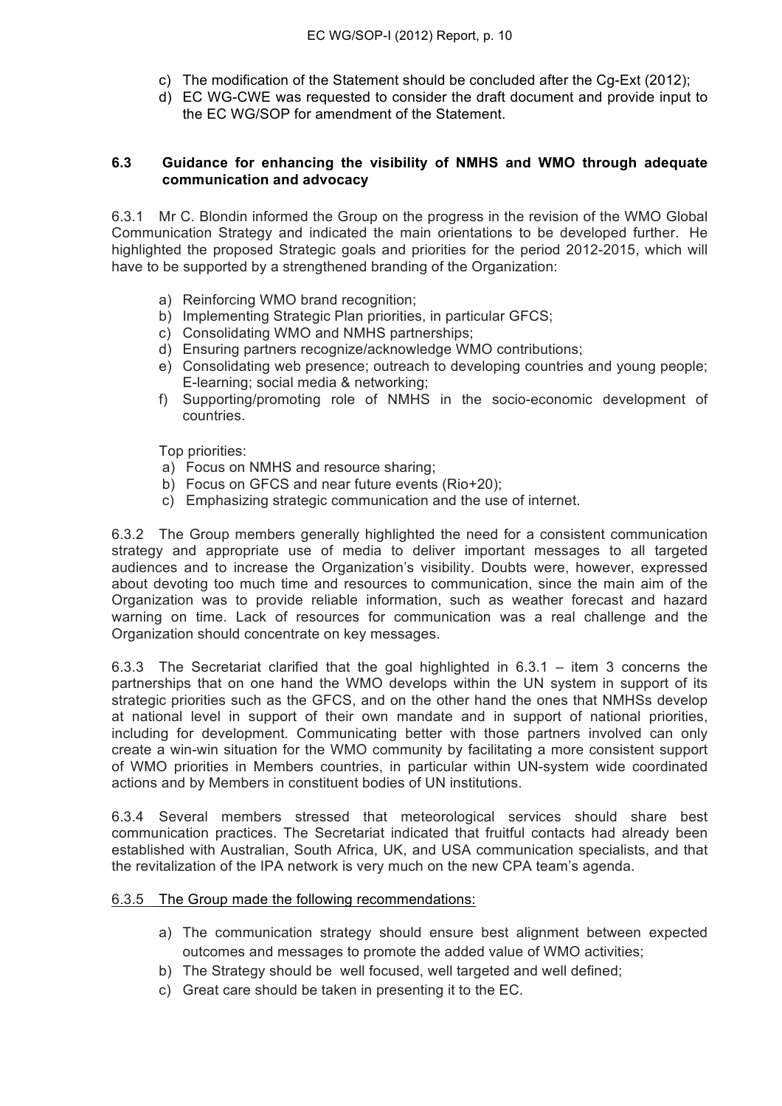- c) The modification of the Statement should be concluded after the Cg-Ext (2012);
- d) EC WG-CWE was requested to consider the draft document and provide input to the EC WG/SOP for amendment of the Statement.

### **6.3 Guidance for enhancing the visibility of NMHS and WMO through adequate communication and advocacy**

6.3.1 Mr C. Blondin informed the Group on the progress in the revision of the WMO Global Communication Strategy and indicated the main orientations to be developed further. He highlighted the proposed Strategic goals and priorities for the period 2012-2015, which will have to be supported by a strengthened branding of the Organization:

- a) Reinforcing WMO brand recognition;
- b) Implementing Strategic Plan priorities, in particular GFCS;
- c) Consolidating WMO and NMHS partnerships;
- d) Ensuring partners recognize/acknowledge WMO contributions;
- e) Consolidating web presence; outreach to developing countries and young people; E-learning; social media & networking;
- f) Supporting/promoting role of NMHS in the socio-economic development of countries.

Top priorities:

- a) Focus on NMHS and resource sharing;
- b) Focus on GFCS and near future events (Rio+20);
- c) Emphasizing strategic communication and the use of internet.

6.3.2 The Group members generally highlighted the need for a consistent communication strategy and appropriate use of media to deliver important messages to all targeted audiences and to increase the Organization's visibility. Doubts were, however, expressed about devoting too much time and resources to communication, since the main aim of the Organization was to provide reliable information, such as weather forecast and hazard warning on time. Lack of resources for communication was a real challenge and the Organization should concentrate on key messages.

6.3.3 The Secretariat clarified that the goal highlighted in 6.3.1 – item 3 concerns the partnerships that on one hand the WMO develops within the UN system in support of its strategic priorities such as the GFCS, and on the other hand the ones that NMHSs develop at national level in support of their own mandate and in support of national priorities, including for development. Communicating better with those partners involved can only create a win-win situation for the WMO community by facilitating a more consistent support of WMO priorities in Members countries, in particular within UN-system wide coordinated actions and by Members in constituent bodies of UN institutions.

6.3.4 Several members stressed that meteorological services should share best communication practices. The Secretariat indicated that fruitful contacts had already been established with Australian, South Africa, UK, and USA communication specialists, and that the revitalization of the IPA network is very much on the new CPA team's agenda.

#### 6.3.5 The Group made the following recommendations:

- a) The communication strategy should ensure best alignment between expected outcomes and messages to promote the added value of WMO activities;
- b) The Strategy should be well focused, well targeted and well defined;
- c) Great care should be taken in presenting it to the EC.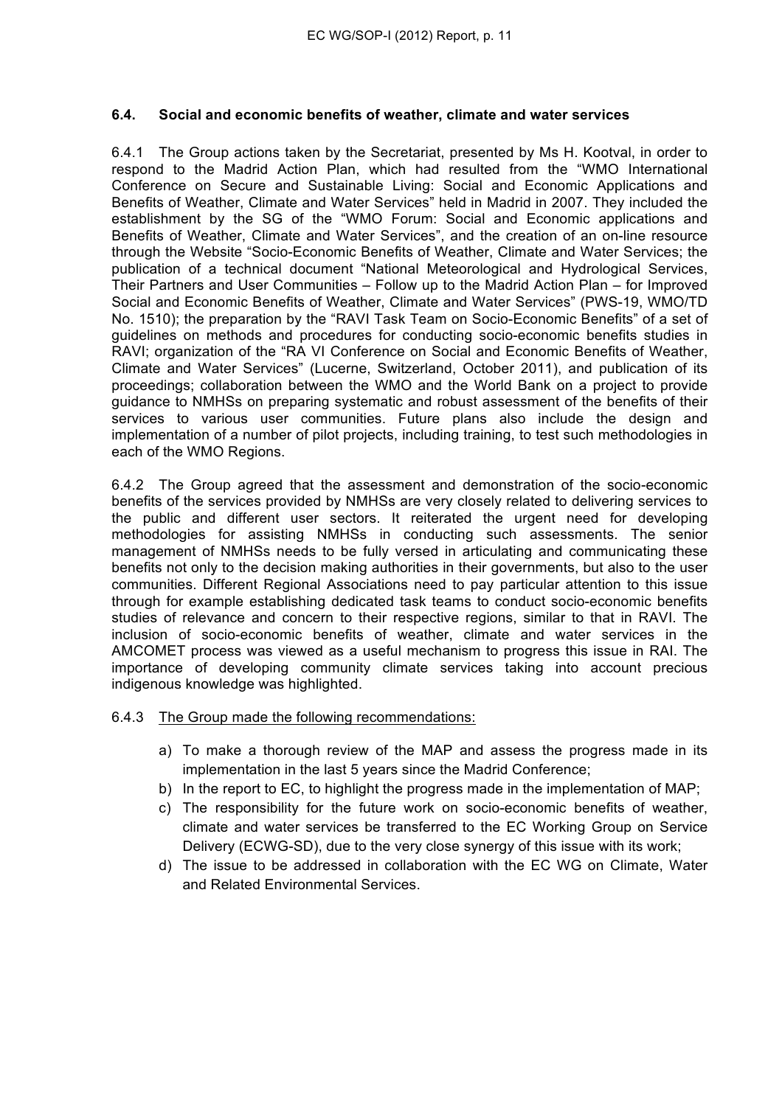### **6.4. Social and economic benefits of weather, climate and water services**

6.4.1 The Group actions taken by the Secretariat, presented by Ms H. Kootval, in order to respond to the Madrid Action Plan, which had resulted from the "WMO International Conference on Secure and Sustainable Living: Social and Economic Applications and Benefits of Weather, Climate and Water Services" held in Madrid in 2007. They included the establishment by the SG of the "WMO Forum: Social and Economic applications and Benefits of Weather, Climate and Water Services", and the creation of an on-line resource through the Website "Socio-Economic Benefits of Weather, Climate and Water Services; the publication of a technical document "National Meteorological and Hydrological Services, Their Partners and User Communities – Follow up to the Madrid Action Plan – for Improved Social and Economic Benefits of Weather, Climate and Water Services" (PWS-19, WMO/TD No. 1510); the preparation by the "RAVI Task Team on Socio-Economic Benefits" of a set of guidelines on methods and procedures for conducting socio-economic benefits studies in RAVI; organization of the "RA VI Conference on Social and Economic Benefits of Weather, Climate and Water Services" (Lucerne, Switzerland, October 2011), and publication of its proceedings; collaboration between the WMO and the World Bank on a project to provide guidance to NMHSs on preparing systematic and robust assessment of the benefits of their services to various user communities. Future plans also include the design and implementation of a number of pilot projects, including training, to test such methodologies in each of the WMO Regions.

6.4.2 The Group agreed that the assessment and demonstration of the socio-economic benefits of the services provided by NMHSs are very closely related to delivering services to the public and different user sectors. It reiterated the urgent need for developing methodologies for assisting NMHSs in conducting such assessments. The senior management of NMHSs needs to be fully versed in articulating and communicating these benefits not only to the decision making authorities in their governments, but also to the user communities. Different Regional Associations need to pay particular attention to this issue through for example establishing dedicated task teams to conduct socio-economic benefits studies of relevance and concern to their respective regions, similar to that in RAVI. The inclusion of socio-economic benefits of weather, climate and water services in the AMCOMET process was viewed as a useful mechanism to progress this issue in RAI. The importance of developing community climate services taking into account precious indigenous knowledge was highlighted.

6.4.3 The Group made the following recommendations:

- a) To make a thorough review of the MAP and assess the progress made in its implementation in the last 5 years since the Madrid Conference;
- b) In the report to EC, to highlight the progress made in the implementation of MAP;
- c) The responsibility for the future work on socio-economic benefits of weather, climate and water services be transferred to the EC Working Group on Service Delivery (ECWG-SD), due to the very close synergy of this issue with its work;
- d) The issue to be addressed in collaboration with the EC WG on Climate, Water and Related Environmental Services.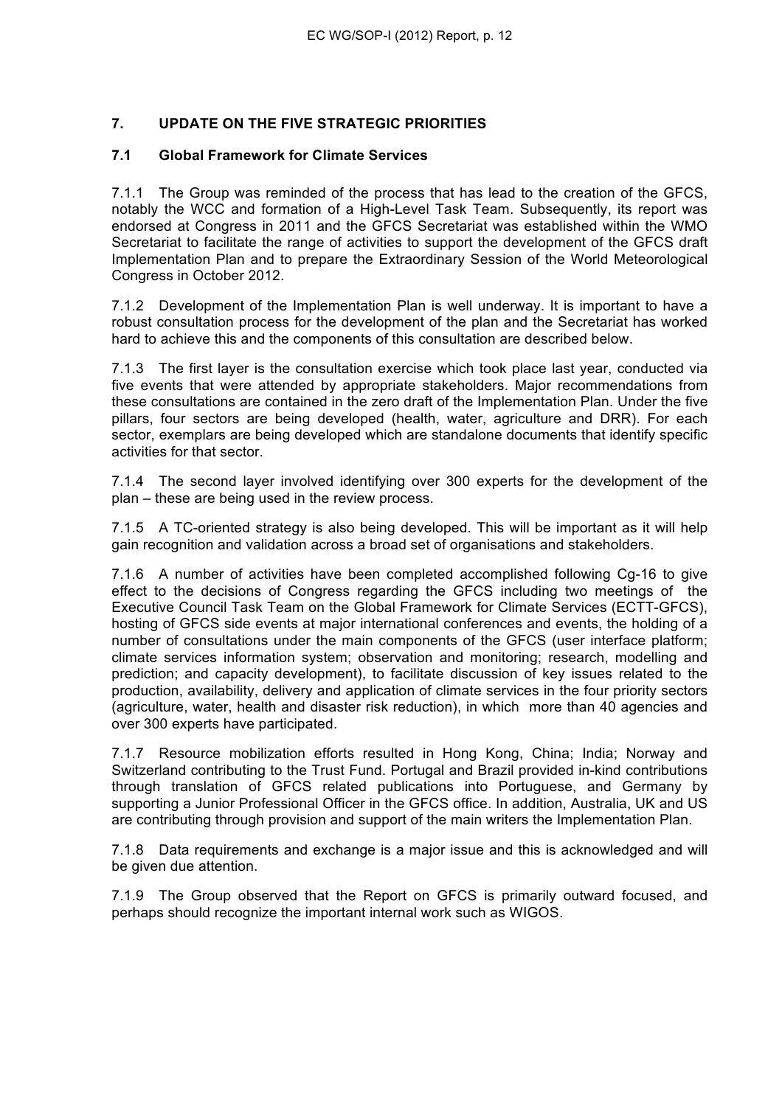# **7. UPDATE ON THE FIVE STRATEGIC PRIORITIES**

## **7.1 Global Framework for Climate Services**

7.1.1 The Group was reminded of the process that has lead to the creation of the GFCS, notably the WCC and formation of a High-Level Task Team. Subsequently, its report was endorsed at Congress in 2011 and the GFCS Secretariat was established within the WMO Secretariat to facilitate the range of activities to support the development of the GFCS draft Implementation Plan and to prepare the Extraordinary Session of the World Meteorological Congress in October 2012.

7.1.2 Development of the Implementation Plan is well underway. It is important to have a robust consultation process for the development of the plan and the Secretariat has worked hard to achieve this and the components of this consultation are described below.

7.1.3 The first layer is the consultation exercise which took place last year, conducted via five events that were attended by appropriate stakeholders. Major recommendations from these consultations are contained in the zero draft of the Implementation Plan. Under the five pillars, four sectors are being developed (health, water, agriculture and DRR). For each sector, exemplars are being developed which are standalone documents that identify specific activities for that sector.

7.1.4 The second layer involved identifying over 300 experts for the development of the plan – these are being used in the review process.

7.1.5 A TC-oriented strategy is also being developed. This will be important as it will help gain recognition and validation across a broad set of organisations and stakeholders.

7.1.6 A number of activities have been completed accomplished following Cg-16 to give effect to the decisions of Congress regarding the GFCS including two meetings of the Executive Council Task Team on the Global Framework for Climate Services (ECTT-GFCS), hosting of GFCS side events at major international conferences and events, the holding of a number of consultations under the main components of the GFCS (user interface platform; climate services information system; observation and monitoring; research, modelling and prediction; and capacity development), to facilitate discussion of key issues related to the production, availability, delivery and application of climate services in the four priority sectors (agriculture, water, health and disaster risk reduction), in which more than 40 agencies and over 300 experts have participated.

7.1.7 Resource mobilization efforts resulted in Hong Kong, China; India; Norway and Switzerland contributing to the Trust Fund. Portugal and Brazil provided in-kind contributions through translation of GFCS related publications into Portuguese, and Germany by supporting a Junior Professional Officer in the GFCS office. In addition, Australia, UK and US are contributing through provision and support of the main writers the Implementation Plan.

7.1.8 Data requirements and exchange is a major issue and this is acknowledged and will be given due attention.

7.1.9 The Group observed that the Report on GFCS is primarily outward focused, and perhaps should recognize the important internal work such as WIGOS.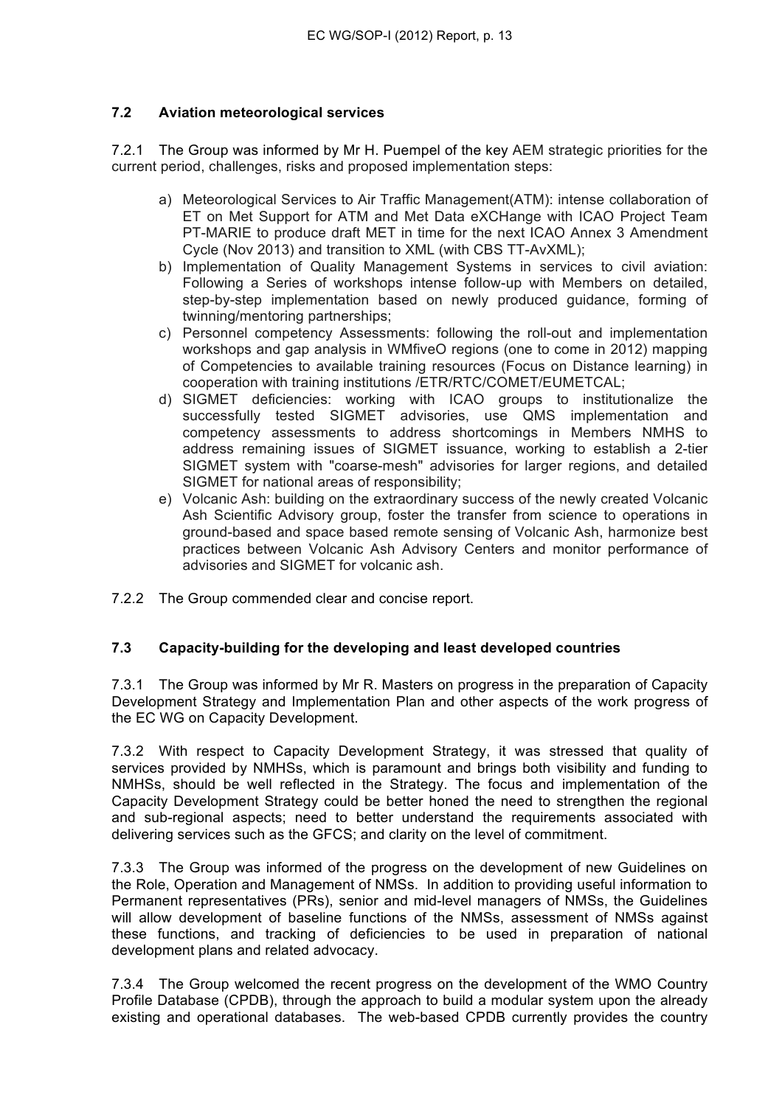## **7.2 Aviation meteorological services**

7.2.1 The Group was informed by Mr H. Puempel of the key AEM strategic priorities for the current period, challenges, risks and proposed implementation steps:

- a) Meteorological Services to Air Traffic Management(ATM): intense collaboration of ET on Met Support for ATM and Met Data eXCHange with ICAO Project Team PT-MARIE to produce draft MET in time for the next ICAO Annex 3 Amendment Cycle (Nov 2013) and transition to XML (with CBS TT-AvXML);
- b) Implementation of Quality Management Systems in services to civil aviation: Following a Series of workshops intense follow-up with Members on detailed, step-by-step implementation based on newly produced guidance, forming of twinning/mentoring partnerships;
- c) Personnel competency Assessments: following the roll-out and implementation workshops and gap analysis in WMfiveO regions (one to come in 2012) mapping of Competencies to available training resources (Focus on Distance learning) in cooperation with training institutions /ETR/RTC/COMET/EUMETCAL;
- d) SIGMET deficiencies: working with ICAO groups to institutionalize the successfully tested SIGMET advisories, use QMS implementation and competency assessments to address shortcomings in Members NMHS to address remaining issues of SIGMET issuance, working to establish a 2-tier SIGMET system with "coarse-mesh" advisories for larger regions, and detailed SIGMET for national areas of responsibility;
- e) Volcanic Ash: building on the extraordinary success of the newly created Volcanic Ash Scientific Advisory group, foster the transfer from science to operations in ground-based and space based remote sensing of Volcanic Ash, harmonize best practices between Volcanic Ash Advisory Centers and monitor performance of advisories and SIGMET for volcanic ash.
- 7.2.2 The Group commended clear and concise report.

## **7.3 Capacity-building for the developing and least developed countries**

7.3.1 The Group was informed by Mr R. Masters on progress in the preparation of Capacity Development Strategy and Implementation Plan and other aspects of the work progress of the EC WG on Capacity Development.

7.3.2 With respect to Capacity Development Strategy, it was stressed that quality of services provided by NMHSs, which is paramount and brings both visibility and funding to NMHSs, should be well reflected in the Strategy. The focus and implementation of the Capacity Development Strategy could be better honed the need to strengthen the regional and sub-regional aspects; need to better understand the requirements associated with delivering services such as the GFCS; and clarity on the level of commitment.

7.3.3 The Group was informed of the progress on the development of new Guidelines on the Role, Operation and Management of NMSs. In addition to providing useful information to Permanent representatives (PRs), senior and mid-level managers of NMSs, the Guidelines will allow development of baseline functions of the NMSs, assessment of NMSs against these functions, and tracking of deficiencies to be used in preparation of national development plans and related advocacy.

7.3.4 The Group welcomed the recent progress on the development of the WMO Country Profile Database (CPDB), through the approach to build a modular system upon the already existing and operational databases. The web-based CPDB currently provides the country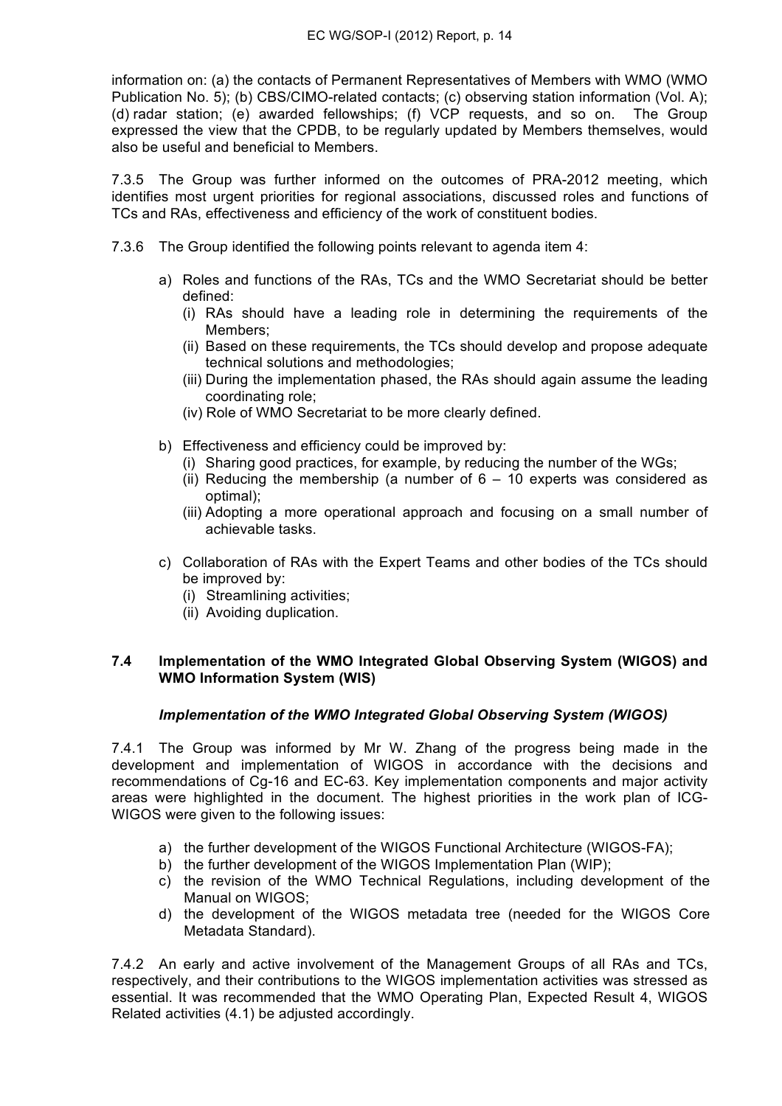information on: (a) the contacts of Permanent Representatives of Members with WMO (WMO Publication No. 5); (b) CBS/CIMO-related contacts; (c) observing station information (Vol. A); (d) radar station; (e) awarded fellowships; (f) VCP requests, and so on. The Group expressed the view that the CPDB, to be regularly updated by Members themselves, would also be useful and beneficial to Members.

7.3.5 The Group was further informed on the outcomes of PRA-2012 meeting, which identifies most urgent priorities for regional associations, discussed roles and functions of TCs and RAs, effectiveness and efficiency of the work of constituent bodies.

- 7.3.6 The Group identified the following points relevant to agenda item 4:
	- a) Roles and functions of the RAs, TCs and the WMO Secretariat should be better defined:
		- (i) RAs should have a leading role in determining the requirements of the Members;
		- (ii) Based on these requirements, the TCs should develop and propose adequate technical solutions and methodologies;
		- (iii) During the implementation phased, the RAs should again assume the leading coordinating role;
		- (iv) Role of WMO Secretariat to be more clearly defined.
	- b) Effectiveness and efficiency could be improved by:
		- (i) Sharing good practices, for example, by reducing the number of the WGs;
		- (ii) Reducing the membership (a number of  $6 10$  experts was considered as optimal);
		- (iii) Adopting a more operational approach and focusing on a small number of achievable tasks.
	- c) Collaboration of RAs with the Expert Teams and other bodies of the TCs should be improved by:
		- (i) Streamlining activities;
		- (ii) Avoiding duplication.

### **7.4 Implementation of the WMO Integrated Global Observing System (WIGOS) and WMO Information System (WIS)**

### *Implementation of the WMO Integrated Global Observing System (WIGOS)*

7.4.1 The Group was informed by Mr W. Zhang of the progress being made in the development and implementation of WIGOS in accordance with the decisions and recommendations of Cg-16 and EC-63. Key implementation components and major activity areas were highlighted in the document. The highest priorities in the work plan of ICG-WIGOS were given to the following issues:

- a) the further development of the WIGOS Functional Architecture (WIGOS-FA);
- b) the further development of the WIGOS Implementation Plan (WIP);
- c) the revision of the WMO Technical Regulations, including development of the Manual on WIGOS;
- d) the development of the WIGOS metadata tree (needed for the WIGOS Core Metadata Standard).

7.4.2 An early and active involvement of the Management Groups of all RAs and TCs, respectively, and their contributions to the WIGOS implementation activities was stressed as essential. It was recommended that the WMO Operating Plan, Expected Result 4, WIGOS Related activities (4.1) be adjusted accordingly.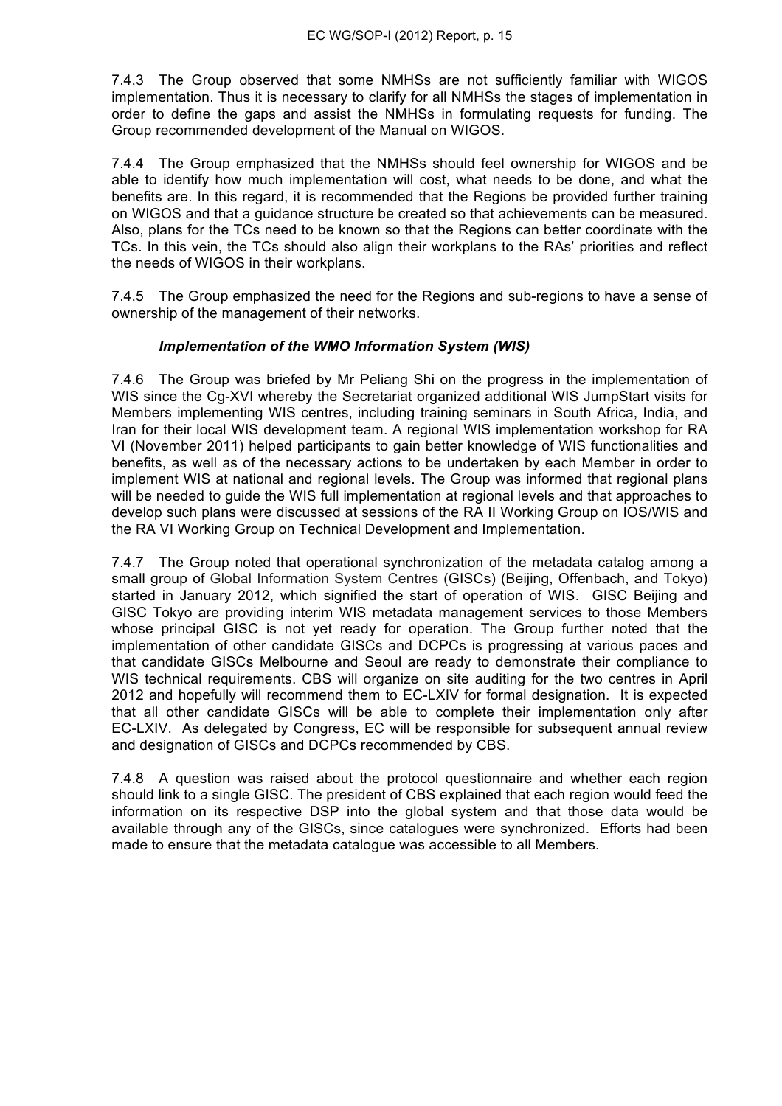7.4.3 The Group observed that some NMHSs are not sufficiently familiar with WIGOS implementation. Thus it is necessary to clarify for all NMHSs the stages of implementation in order to define the gaps and assist the NMHSs in formulating requests for funding. The Group recommended development of the Manual on WIGOS.

7.4.4 The Group emphasized that the NMHSs should feel ownership for WIGOS and be able to identify how much implementation will cost, what needs to be done, and what the benefits are. In this regard, it is recommended that the Regions be provided further training on WIGOS and that a guidance structure be created so that achievements can be measured. Also, plans for the TCs need to be known so that the Regions can better coordinate with the TCs. In this vein, the TCs should also align their workplans to the RAs' priorities and reflect the needs of WIGOS in their workplans.

7.4.5 The Group emphasized the need for the Regions and sub-regions to have a sense of ownership of the management of their networks.

## *Implementation of the WMO Information System (WIS)*

7.4.6 The Group was briefed by Mr Peliang Shi on the progress in the implementation of WIS since the Cg-XVI whereby the Secretariat organized additional WIS JumpStart visits for Members implementing WIS centres, including training seminars in South Africa, India, and Iran for their local WIS development team. A regional WIS implementation workshop for RA VI (November 2011) helped participants to gain better knowledge of WIS functionalities and benefits, as well as of the necessary actions to be undertaken by each Member in order to implement WIS at national and regional levels. The Group was informed that regional plans will be needed to guide the WIS full implementation at regional levels and that approaches to develop such plans were discussed at sessions of the RA II Working Group on IOS/WIS and the RA VI Working Group on Technical Development and Implementation.

7.4.7 The Group noted that operational synchronization of the metadata catalog among a small group of Global Information System Centres (GISCs) (Beijing, Offenbach, and Tokyo) started in January 2012, which signified the start of operation of WIS. GISC Beijing and GISC Tokyo are providing interim WIS metadata management services to those Members whose principal GISC is not yet ready for operation. The Group further noted that the implementation of other candidate GISCs and DCPCs is progressing at various paces and that candidate GISCs Melbourne and Seoul are ready to demonstrate their compliance to WIS technical requirements. CBS will organize on site auditing for the two centres in April 2012 and hopefully will recommend them to EC-LXIV for formal designation. It is expected that all other candidate GISCs will be able to complete their implementation only after EC-LXIV. As delegated by Congress, EC will be responsible for subsequent annual review and designation of GISCs and DCPCs recommended by CBS.

7.4.8 A question was raised about the protocol questionnaire and whether each region should link to a single GISC. The president of CBS explained that each region would feed the information on its respective DSP into the global system and that those data would be available through any of the GISCs, since catalogues were synchronized. Efforts had been made to ensure that the metadata catalogue was accessible to all Members.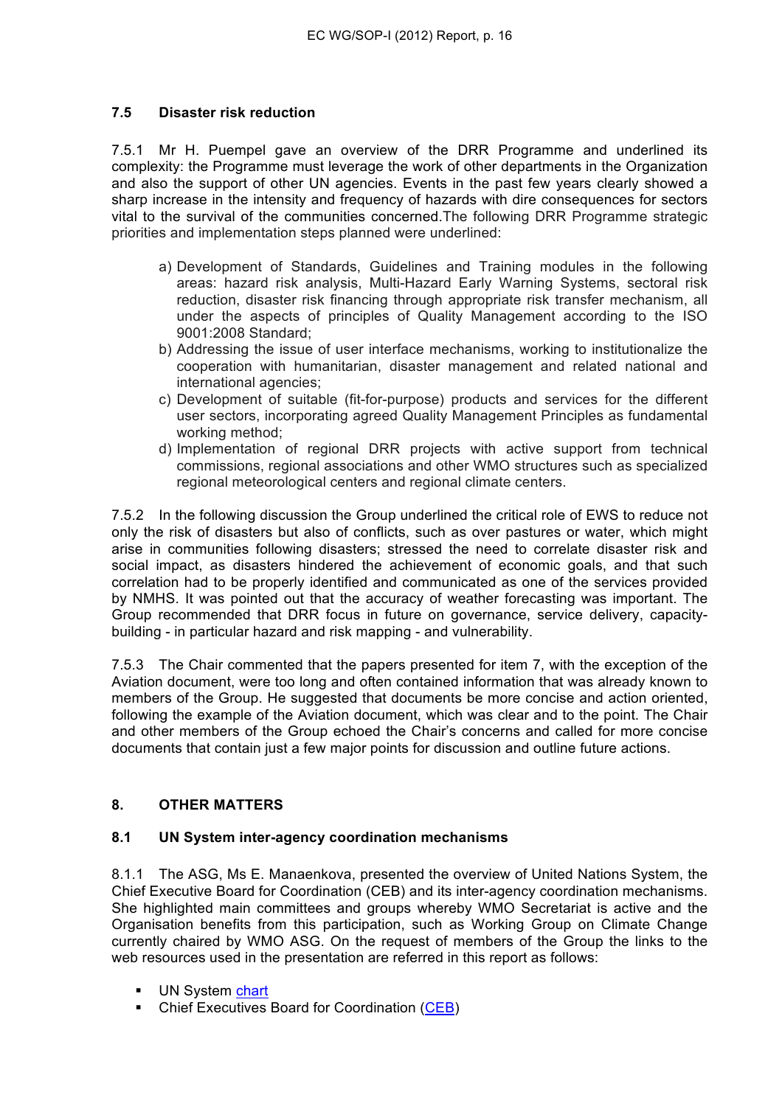## **7.5 Disaster risk reduction**

7.5.1 Mr H. Puempel gave an overview of the DRR Programme and underlined its complexity: the Programme must leverage the work of other departments in the Organization and also the support of other UN agencies. Events in the past few years clearly showed a sharp increase in the intensity and frequency of hazards with dire consequences for sectors vital to the survival of the communities concerned.The following DRR Programme strategic priorities and implementation steps planned were underlined:

- a) Development of Standards, Guidelines and Training modules in the following areas: hazard risk analysis, Multi-Hazard Early Warning Systems, sectoral risk reduction, disaster risk financing through appropriate risk transfer mechanism, all under the aspects of principles of Quality Management according to the ISO 9001:2008 Standard;
- b) Addressing the issue of user interface mechanisms, working to institutionalize the cooperation with humanitarian, disaster management and related national and international agencies;
- c) Development of suitable (fit-for-purpose) products and services for the different user sectors, incorporating agreed Quality Management Principles as fundamental working method;
- d) Implementation of regional DRR projects with active support from technical commissions, regional associations and other WMO structures such as specialized regional meteorological centers and regional climate centers.

7.5.2 In the following discussion the Group underlined the critical role of EWS to reduce not only the risk of disasters but also of conflicts, such as over pastures or water, which might arise in communities following disasters; stressed the need to correlate disaster risk and social impact, as disasters hindered the achievement of economic goals, and that such correlation had to be properly identified and communicated as one of the services provided by NMHS. It was pointed out that the accuracy of weather forecasting was important. The Group recommended that DRR focus in future on governance, service delivery, capacitybuilding - in particular hazard and risk mapping - and vulnerability.

7.5.3 The Chair commented that the papers presented for item 7, with the exception of the Aviation document, were too long and often contained information that was already known to members of the Group. He suggested that documents be more concise and action oriented, following the example of the Aviation document, which was clear and to the point. The Chair and other members of the Group echoed the Chair's concerns and called for more concise documents that contain just a few major points for discussion and outline future actions.

# **8. OTHER MATTERS**

### **8.1 UN System inter-agency coordination mechanisms**

8.1.1 The ASG, Ms E. Manaenkova, presented the overview of United Nations System, the Chief Executive Board for Coordination (CEB) and its inter-agency coordination mechanisms. She highlighted main committees and groups whereby WMO Secretariat is active and the Organisation benefits from this participation, such as Working Group on Climate Change currently chaired by WMO ASG. On the request of members of the Group the links to the web resources used in the presentation are referred in this report as follows:

- UN System chart
- Chief Executives Board for Coordination (CEB)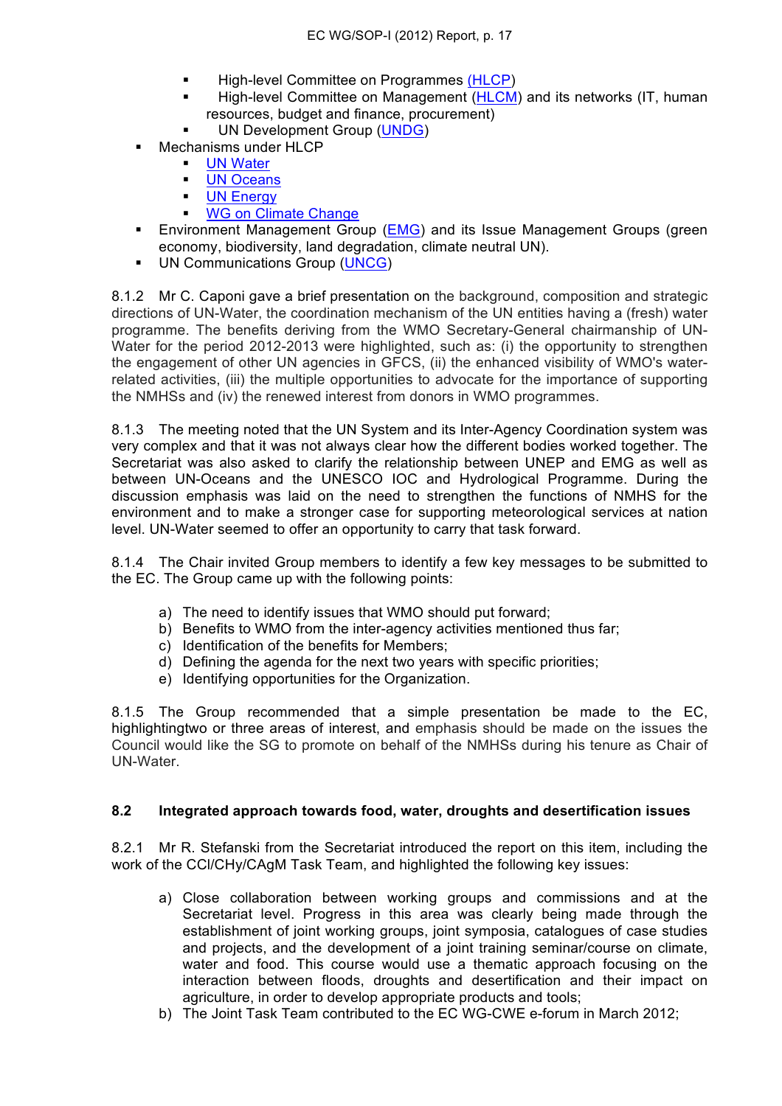- **High-level Committee on Programmes (HLCP)**
- High-level Committee on Management (HLCM) and its networks (IT, human resources, budget and finance, procurement)
- UN Development Group (UNDG)
- Mechanisms under HLCP
	- UN Water
	- **UN Oceans**
	- **UN Energy**
	- WG on Climate Change
- **Environment Management Group (EMG) and its Issue Management Groups (green** economy, biodiversity, land degradation, climate neutral UN).
- UN Communications Group (UNCG)

8.1.2 Mr C. Caponi gave a brief presentation on the background, composition and strategic directions of UN-Water, the coordination mechanism of the UN entities having a (fresh) water programme. The benefits deriving from the WMO Secretary-General chairmanship of UN-Water for the period 2012-2013 were highlighted, such as: (i) the opportunity to strengthen the engagement of other UN agencies in GFCS, (ii) the enhanced visibility of WMO's waterrelated activities, (iii) the multiple opportunities to advocate for the importance of supporting the NMHSs and (iv) the renewed interest from donors in WMO programmes.

8.1.3 The meeting noted that the UN System and its Inter-Agency Coordination system was very complex and that it was not always clear how the different bodies worked together. The Secretariat was also asked to clarify the relationship between UNEP and EMG as well as between UN-Oceans and the UNESCO IOC and Hydrological Programme. During the discussion emphasis was laid on the need to strengthen the functions of NMHS for the environment and to make a stronger case for supporting meteorological services at nation level. UN-Water seemed to offer an opportunity to carry that task forward.

8.1.4 The Chair invited Group members to identify a few key messages to be submitted to the EC. The Group came up with the following points:

- a) The need to identify issues that WMO should put forward;
- b) Benefits to WMO from the inter-agency activities mentioned thus far;
- c) Identification of the benefits for Members;
- d) Defining the agenda for the next two years with specific priorities;
- e) Identifying opportunities for the Organization.

8.1.5 The Group recommended that a simple presentation be made to the EC, highlightingtwo or three areas of interest, and emphasis should be made on the issues the Council would like the SG to promote on behalf of the NMHSs during his tenure as Chair of UN-Water.

#### **8.2 Integrated approach towards food, water, droughts and desertification issues**

8.2.1 Mr R. Stefanski from the Secretariat introduced the report on this item, including the work of the CCl/CHy/CAgM Task Team, and highlighted the following key issues:

- a) Close collaboration between working groups and commissions and at the Secretariat level. Progress in this area was clearly being made through the establishment of joint working groups, joint symposia, catalogues of case studies and projects, and the development of a joint training seminar/course on climate, water and food. This course would use a thematic approach focusing on the interaction between floods, droughts and desertification and their impact on agriculture, in order to develop appropriate products and tools;
- b) The Joint Task Team contributed to the EC WG-CWE e-forum in March 2012;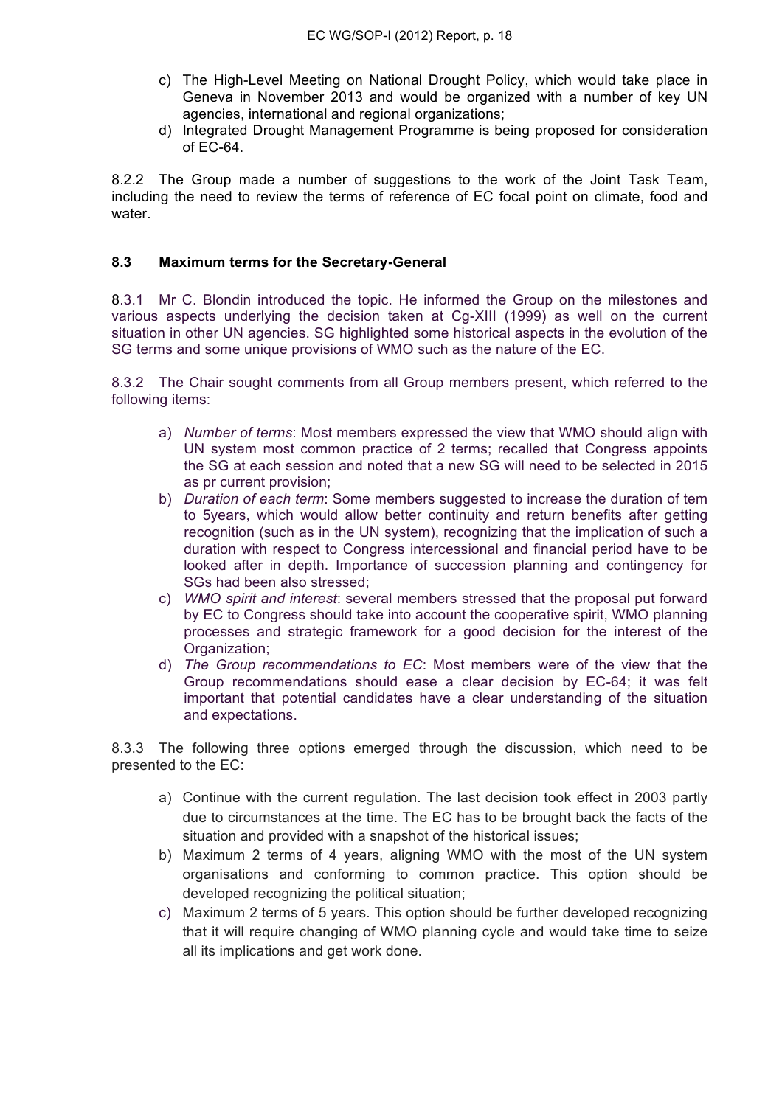- c) The High-Level Meeting on National Drought Policy, which would take place in Geneva in November 2013 and would be organized with a number of key UN agencies, international and regional organizations;
- d) Integrated Drought Management Programme is being proposed for consideration of EC-64.

8.2.2 The Group made a number of suggestions to the work of the Joint Task Team, including the need to review the terms of reference of EC focal point on climate, food and water.

### **8.3 Maximum terms for the Secretary-General**

8.3.1 Mr C. Blondin introduced the topic. He informed the Group on the milestones and various aspects underlying the decision taken at Cg-XIII (1999) as well on the current situation in other UN agencies. SG highlighted some historical aspects in the evolution of the SG terms and some unique provisions of WMO such as the nature of the EC.

8.3.2 The Chair sought comments from all Group members present, which referred to the following items:

- a) *Number of terms*: Most members expressed the view that WMO should align with UN system most common practice of 2 terms; recalled that Congress appoints the SG at each session and noted that a new SG will need to be selected in 2015 as pr current provision;
- b) *Duration of each term*: Some members suggested to increase the duration of tem to 5years, which would allow better continuity and return benefits after getting recognition (such as in the UN system), recognizing that the implication of such a duration with respect to Congress intercessional and financial period have to be looked after in depth. Importance of succession planning and contingency for SGs had been also stressed;
- c) *WMO spirit and interest*: several members stressed that the proposal put forward by EC to Congress should take into account the cooperative spirit, WMO planning processes and strategic framework for a good decision for the interest of the Organization;
- d) *The Group recommendations to EC*: Most members were of the view that the Group recommendations should ease a clear decision by EC-64; it was felt important that potential candidates have a clear understanding of the situation and expectations.

8.3.3 The following three options emerged through the discussion, which need to be presented to the EC:

- a) Continue with the current regulation. The last decision took effect in 2003 partly due to circumstances at the time. The EC has to be brought back the facts of the situation and provided with a snapshot of the historical issues;
- b) Maximum 2 terms of 4 years, aligning WMO with the most of the UN system organisations and conforming to common practice. This option should be developed recognizing the political situation;
- c) Maximum 2 terms of 5 years. This option should be further developed recognizing that it will require changing of WMO planning cycle and would take time to seize all its implications and get work done.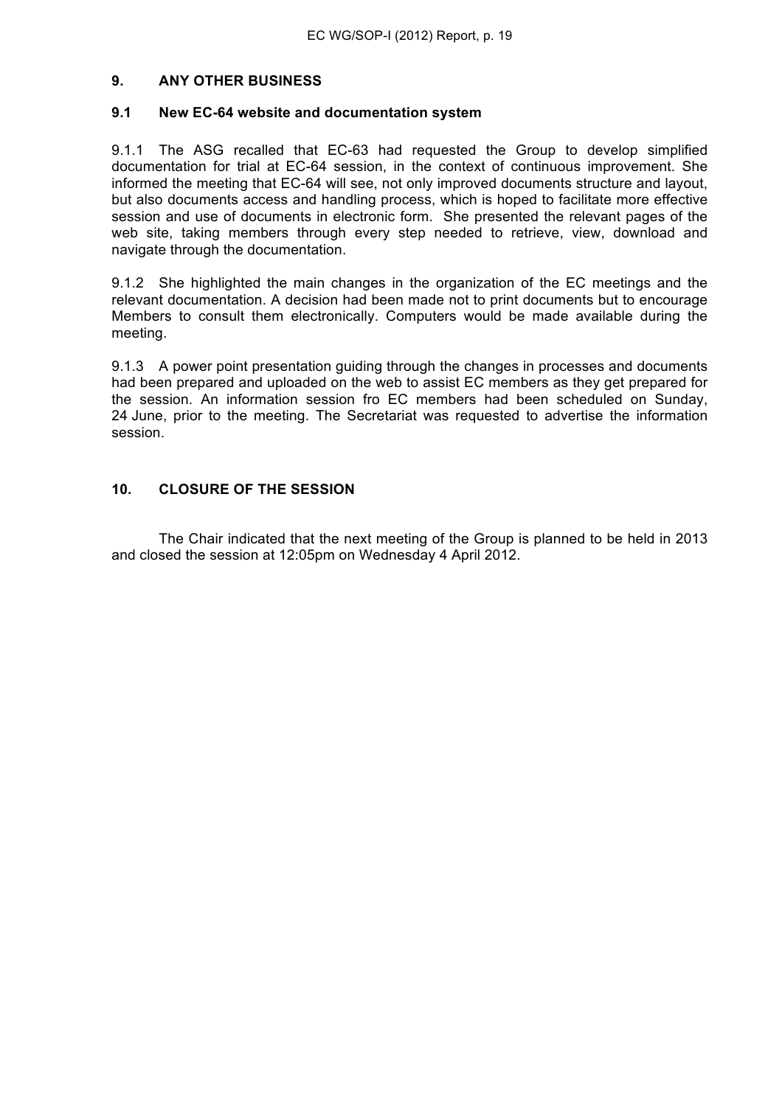## **9. ANY OTHER BUSINESS**

#### **9.1 New EC-64 website and documentation system**

9.1.1 The ASG recalled that EC-63 had requested the Group to develop simplified documentation for trial at EC-64 session, in the context of continuous improvement. She informed the meeting that EC-64 will see, not only improved documents structure and layout, but also documents access and handling process, which is hoped to facilitate more effective session and use of documents in electronic form. She presented the relevant pages of the web site, taking members through every step needed to retrieve, view, download and navigate through the documentation.

9.1.2 She highlighted the main changes in the organization of the EC meetings and the relevant documentation. A decision had been made not to print documents but to encourage Members to consult them electronically. Computers would be made available during the meeting.

9.1.3 A power point presentation guiding through the changes in processes and documents had been prepared and uploaded on the web to assist EC members as they get prepared for the session. An information session fro EC members had been scheduled on Sunday, 24 June, prior to the meeting. The Secretariat was requested to advertise the information session.

#### **10. CLOSURE OF THE SESSION**

The Chair indicated that the next meeting of the Group is planned to be held in 2013 and closed the session at 12:05pm on Wednesday 4 April 2012.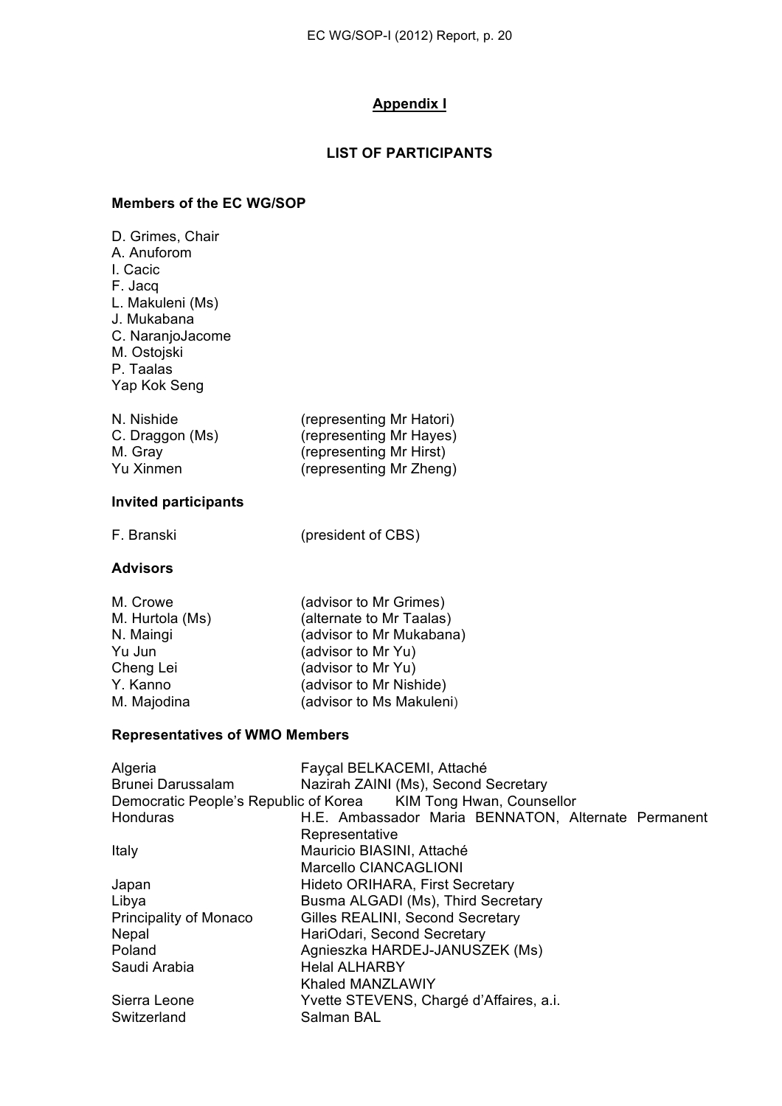### **Appendix I**

## **LIST OF PARTICIPANTS**

#### **Members of the EC WG/SOP**

| D. Grimes, Chair<br>A. Anuforom<br>I. Cacic<br>F. Jacq<br>L. Makuleni (Ms)<br>J. Mukabana<br>C. NaranjoJacome<br>M. Ostojski<br>P. Taalas<br>Yap Kok Seng |                                                                                                                                                                                                                        |  |
|-----------------------------------------------------------------------------------------------------------------------------------------------------------|------------------------------------------------------------------------------------------------------------------------------------------------------------------------------------------------------------------------|--|
| N. Nishide<br>C. Draggon (Ms)<br>M. Gray<br><b>Yu Xinmen</b>                                                                                              | (representing Mr Hatori)<br>(representing Mr Hayes)<br>(representing Mr Hirst)<br>(representing Mr Zheng)                                                                                                              |  |
| <b>Invited participants</b>                                                                                                                               |                                                                                                                                                                                                                        |  |
| F. Branski                                                                                                                                                | (president of CBS)                                                                                                                                                                                                     |  |
| <b>Advisors</b>                                                                                                                                           |                                                                                                                                                                                                                        |  |
| M. Crowe<br>M. Hurtola (Ms)<br>N. Maingi<br>Yu Jun<br>Cheng Lei<br>Y. Kanno<br>M. Majodina                                                                | (advisor to Mr Grimes)<br>(alternate to Mr Taalas)<br>(advisor to Mr Mukabana)<br>(advisor to Mr Yu)<br>(advisor to Mr Yu)<br>(advisor to Mr Nishide)<br>(advisor to Ms Makuleni)                                      |  |
| <b>Representatives of WMO Members</b>                                                                                                                     |                                                                                                                                                                                                                        |  |
| Algeria<br><b>Brunei Darussalam</b><br>Democratic People's Republic of Korea<br>Honduras                                                                  | Fayçal BELKACEMI, Attaché<br>Nazirah ZAINI (Ms), Second Secretary<br>KIM Tong Hwan, Counsellor<br>H.E. Ambassador Maria BENNATON, Alternate Permanent<br>Representative                                                |  |
| Italy                                                                                                                                                     | Mauricio BIASINI, Attaché<br>Marcello CIANCAGLIONI                                                                                                                                                                     |  |
| Japan<br>Libya<br>Principality of Monaco<br>Nepal<br>Poland<br>Saudi Arabia                                                                               | Hideto ORIHARA, First Secretary<br>Busma ALGADI (Ms), Third Secretary<br>Gilles REALINI, Second Secretary<br>HariOdari, Second Secretary<br>Agnieszka HARDEJ-JANUSZEK (Ms)<br><b>Helal ALHARBY</b><br>Khaled MANZLAWIY |  |
| Sierra Leone<br>Switzerland                                                                                                                               | Yvette STEVENS, Chargé d'Affaires, a.i.<br>Salman BAL                                                                                                                                                                  |  |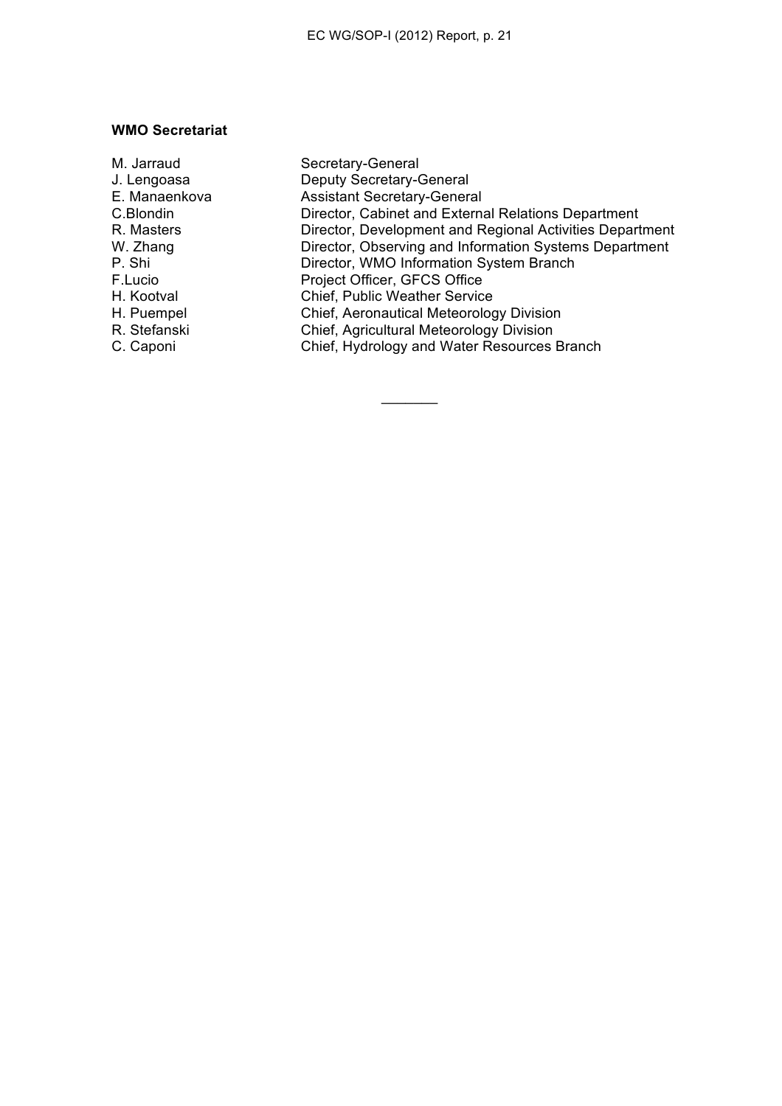#### **WMO Secretariat**

| M. Jarraud    | Secretary-General                                        |
|---------------|----------------------------------------------------------|
| J. Lengoasa   | Deputy Secretary-General                                 |
| E. Manaenkova | <b>Assistant Secretary-General</b>                       |
| C.Blondin     | Director, Cabinet and External Relations Department      |
| R. Masters    | Director, Development and Regional Activities Department |
| W. Zhang      | Director, Observing and Information Systems Department   |
| P. Shi        | Director, WMO Information System Branch                  |
| F.Lucio       | Project Officer, GFCS Office                             |
| H. Kootval    | <b>Chief, Public Weather Service</b>                     |
| H. Puempel    | Chief, Aeronautical Meteorology Division                 |
| R. Stefanski  | Chief, Agricultural Meteorology Division                 |
| C. Caponi     | Chief, Hydrology and Water Resources Branch              |
|               |                                                          |

 $\frac{1}{2}$